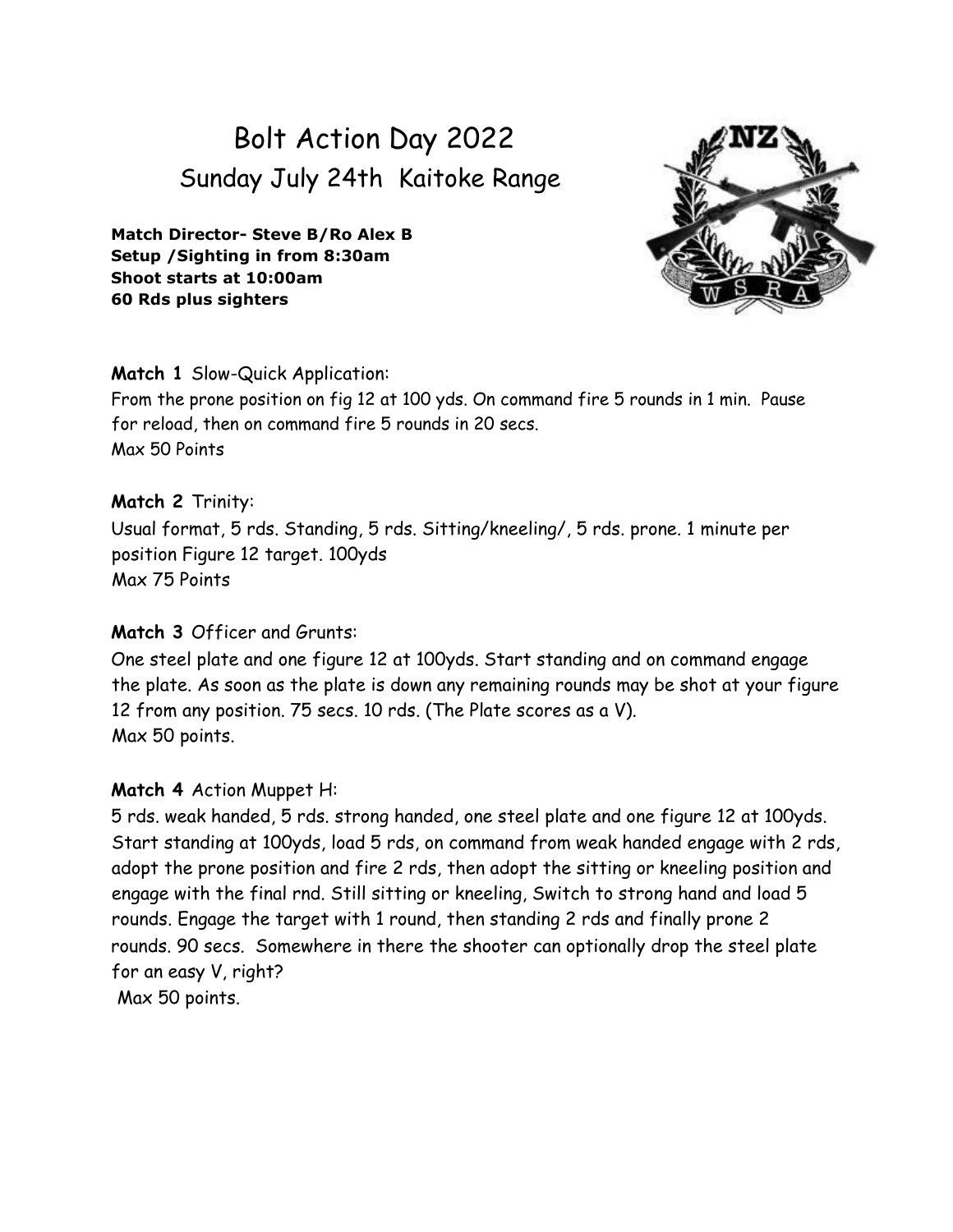# Bolt Action Day 2022 Sunday July 24th Kaitoke Range

**Match Director- Steve B/Ro Alex B Setup /Sighting in from 8:30am Shoot starts at 10:00am 60 Rds plus sighters**



#### **Match 1** Slow-Quick Application:

From the prone position on fig 12 at 100 yds. On command fire 5 rounds in 1 min. Pause for reload, then on command fire 5 rounds in 20 secs. Max 50 Points

# **Match 2** Trinity:

Usual format, 5 rds. Standing, 5 rds. Sitting/kneeling/, 5 rds. prone. 1 minute per position Figure 12 target. 100yds Max 75 Points

#### **Match 3** Officer and Grunts:

One steel plate and one figure 12 at 100yds. Start standing and on command engage the plate. As soon as the plate is down any remaining rounds may be shot at your figure 12 from any position. 75 secs. 10 rds. (The Plate scores as a V). Max 50 points.

# **Match 4** Action Muppet H:

5 rds. weak handed, 5 rds. strong handed, one steel plate and one figure 12 at 100yds. Start standing at 100yds, load 5 rds, on command from weak handed engage with 2 rds, adopt the prone position and fire 2 rds, then adopt the sitting or kneeling position and engage with the final rnd. Still sitting or kneeling, Switch to strong hand and load 5 rounds. Engage the target with 1 round, then standing 2 rds and finally prone 2 rounds. 90 secs. Somewhere in there the shooter can optionally drop the steel plate for an easy V, right? Max 50 points.